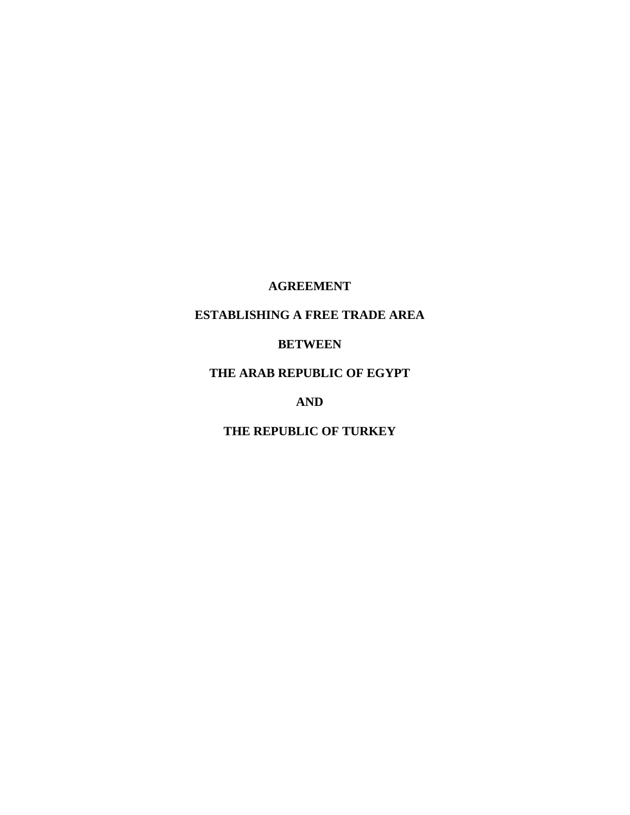## **AGREEMENT**

## **ESTABLISHING A FREE TRADE AREA**

## **BETWEEN**

## **THE ARAB REPUBLIC OF EGYPT**

## **AND**

## **THE REPUBLIC OF TURKEY**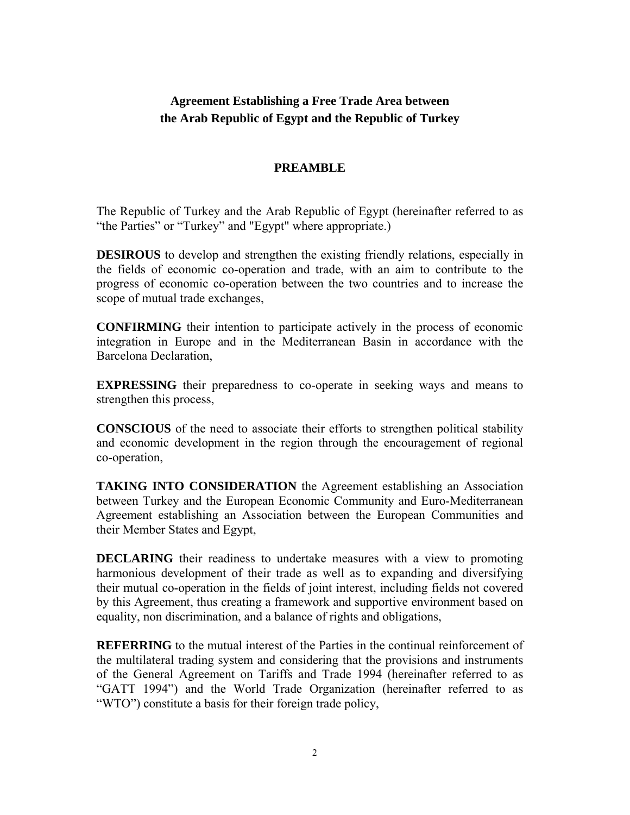## **Agreement Establishing a Free Trade Area between the Arab Republic of Egypt and the Republic of Turkey**

## **PREAMBLE**

The Republic of Turkey and the Arab Republic of Egypt (hereinafter referred to as "the Parties" or "Turkey" and "Egypt" where appropriate.)

**DESIROUS** to develop and strengthen the existing friendly relations, especially in the fields of economic co-operation and trade, with an aim to contribute to the progress of economic co-operation between the two countries and to increase the scope of mutual trade exchanges,

**CONFIRMING** their intention to participate actively in the process of economic integration in Europe and in the Mediterranean Basin in accordance with the Barcelona Declaration,

**EXPRESSING** their preparedness to co-operate in seeking ways and means to strengthen this process,

**CONSCIOUS** of the need to associate their efforts to strengthen political stability and economic development in the region through the encouragement of regional co-operation,

**TAKING INTO CONSIDERATION** the Agreement establishing an Association between Turkey and the European Economic Community and Euro-Mediterranean Agreement establishing an Association between the European Communities and their Member States and Egypt,

**DECLARING** their readiness to undertake measures with a view to promoting harmonious development of their trade as well as to expanding and diversifying their mutual co-operation in the fields of joint interest, including fields not covered by this Agreement, thus creating a framework and supportive environment based on equality, non discrimination, and a balance of rights and obligations,

**REFERRING** to the mutual interest of the Parties in the continual reinforcement of the multilateral trading system and considering that the provisions and instruments of the General Agreement on Tariffs and Trade 1994 (hereinafter referred to as "GATT 1994") and the World Trade Organization (hereinafter referred to as "WTO") constitute a basis for their foreign trade policy,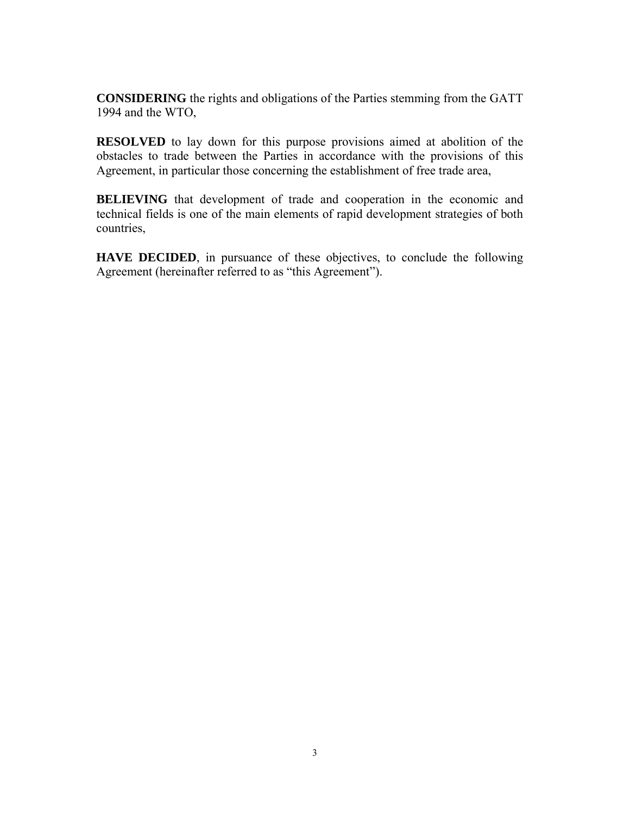**CONSIDERING** the rights and obligations of the Parties stemming from the GATT 1994 and the WTO,

**RESOLVED** to lay down for this purpose provisions aimed at abolition of the obstacles to trade between the Parties in accordance with the provisions of this Agreement, in particular those concerning the establishment of free trade area,

**BELIEVING** that development of trade and cooperation in the economic and technical fields is one of the main elements of rapid development strategies of both countries,

**HAVE DECIDED**, in pursuance of these objectives, to conclude the following Agreement (hereinafter referred to as "this Agreement").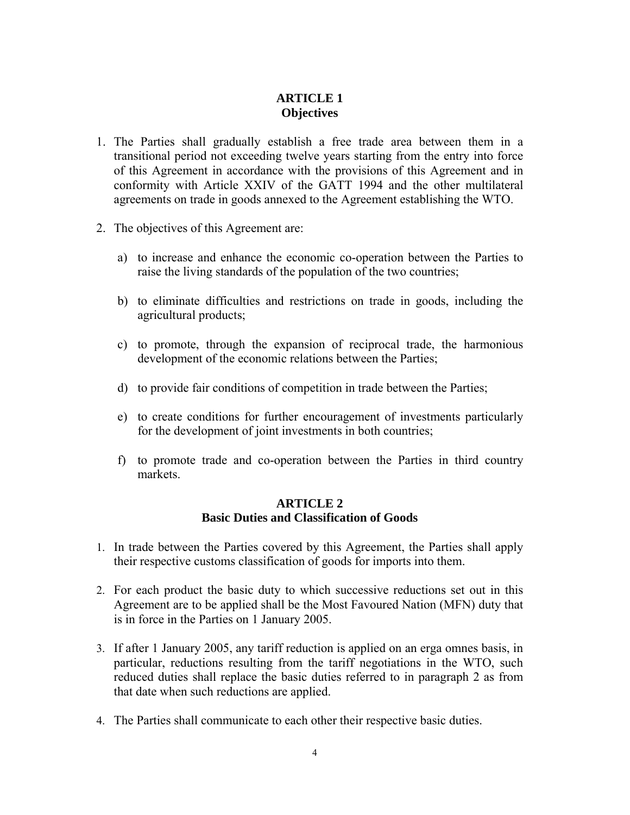## **ARTICLE 1 Objectives**

- 1. The Parties shall gradually establish a free trade area between them in a transitional period not exceeding twelve years starting from the entry into force of this Agreement in accordance with the provisions of this Agreement and in conformity with Article XXIV of the GATT 1994 and the other multilateral agreements on trade in goods annexed to the Agreement establishing the WTO.
- 2. The objectives of this Agreement are:
	- a) to increase and enhance the economic co-operation between the Parties to raise the living standards of the population of the two countries;
	- b) to eliminate difficulties and restrictions on trade in goods, including the agricultural products;
	- c) to promote, through the expansion of reciprocal trade, the harmonious development of the economic relations between the Parties;
	- d) to provide fair conditions of competition in trade between the Parties;
	- e) to create conditions for further encouragement of investments particularly for the development of joint investments in both countries;
	- f) to promote trade and co-operation between the Parties in third country markets.

#### **ARTICLE 2 Basic Duties and Classification of Goods**

- 1. In trade between the Parties covered by this Agreement, the Parties shall apply their respective customs classification of goods for imports into them.
- 2. For each product the basic duty to which successive reductions set out in this Agreement are to be applied shall be the Most Favoured Nation (MFN) duty that is in force in the Parties on 1 January 2005.
- 3. If after 1 January 2005, any tariff reduction is applied on an erga omnes basis, in particular, reductions resulting from the tariff negotiations in the WTO, such reduced duties shall replace the basic duties referred to in paragraph 2 as from that date when such reductions are applied.
- 4. The Parties shall communicate to each other their respective basic duties.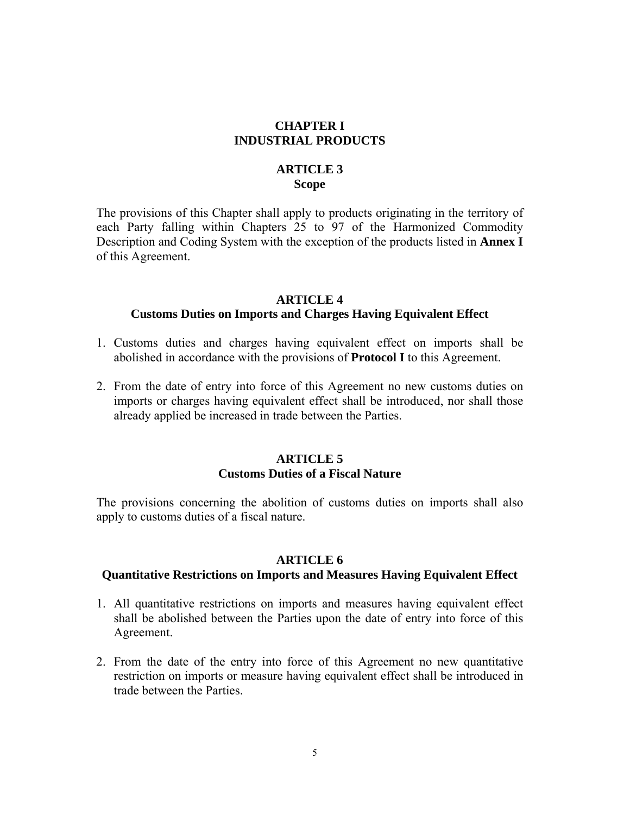### **CHAPTER I INDUSTRIAL PRODUCTS**

## **ARTICLE 3 Scope**

The provisions of this Chapter shall apply to products originating in the territory of each Party falling within Chapters 25 to 97 of the Harmonized Commodity Description and Coding System with the exception of the products listed in **Annex I** of this Agreement.

## **ARTICLE 4 Customs Duties on Imports and Charges Having Equivalent Effect**

- 1. Customs duties and charges having equivalent effect on imports shall be abolished in accordance with the provisions of **Protocol I** to this Agreement.
- 2. From the date of entry into force of this Agreement no new customs duties on imports or charges having equivalent effect shall be introduced, nor shall those already applied be increased in trade between the Parties.

## **ARTICLE 5 Customs Duties of a Fiscal Nature**

The provisions concerning the abolition of customs duties on imports shall also apply to customs duties of a fiscal nature.

#### **ARTICLE 6**

#### **Quantitative Restrictions on Imports and Measures Having Equivalent Effect**

- 1. All quantitative restrictions on imports and measures having equivalent effect shall be abolished between the Parties upon the date of entry into force of this Agreement.
- 2. From the date of the entry into force of this Agreement no new quantitative restriction on imports or measure having equivalent effect shall be introduced in trade between the Parties.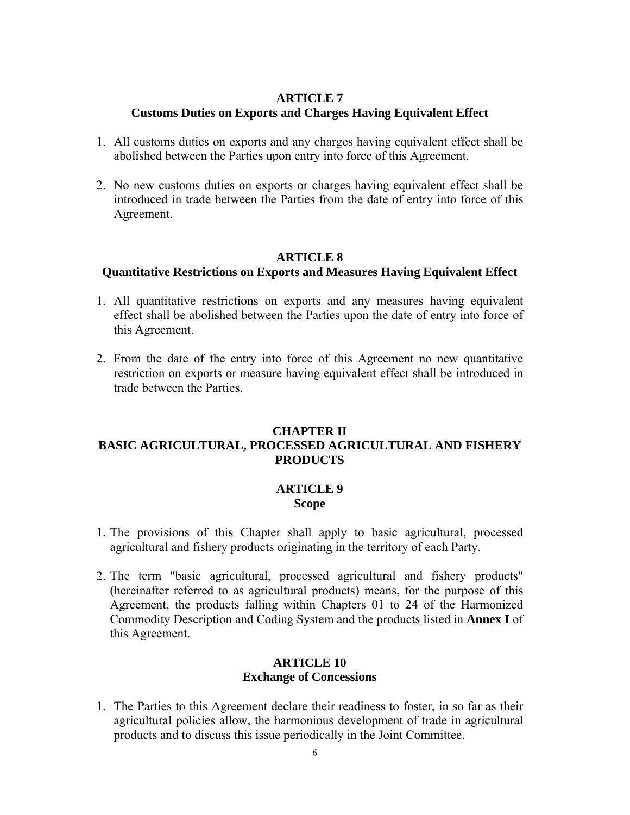#### **ARTICLE 7 Customs Duties on Exports and Charges Having Equivalent Effect**

- 1. All customs duties on exports and any charges having equivalent effect shall be abolished between the Parties upon entry into force of this Agreement.
- 2. No new customs duties on exports or charges having equivalent effect shall be introduced in trade between the Parties from the date of entry into force of this Agreement.

## **ARTICLE 8**

## **Quantitative Restrictions on Exports and Measures Having Equivalent Effect**

- 1. All quantitative restrictions on exports and any measures having equivalent effect shall be abolished between the Parties upon the date of entry into force of this Agreement.
- 2. From the date of the entry into force of this Agreement no new quantitative restriction on exports or measure having equivalent effect shall be introduced in trade between the Parties.

## **CHAPTER II BASIC AGRICULTURAL, PROCESSED AGRICULTURAL AND FISHERY PRODUCTS**

## **ARTICLE 9 Scope**

- 1. The provisions of this Chapter shall apply to basic agricultural, processed agricultural and fishery products originating in the territory of each Party.
- 2. The term "basic agricultural, processed agricultural and fishery products" (hereinafter referred to as agricultural products) means, for the purpose of this Agreement, the products falling within Chapters 01 to 24 of the Harmonized Commodity Description and Coding System and the products listed in **Annex I** of this Agreement.

## **ARTICLE 10 Exchange of Concessions**

1. The Parties to this Agreement declare their readiness to foster, in so far as their agricultural policies allow, the harmonious development of trade in agricultural products and to discuss this issue periodically in the Joint Committee.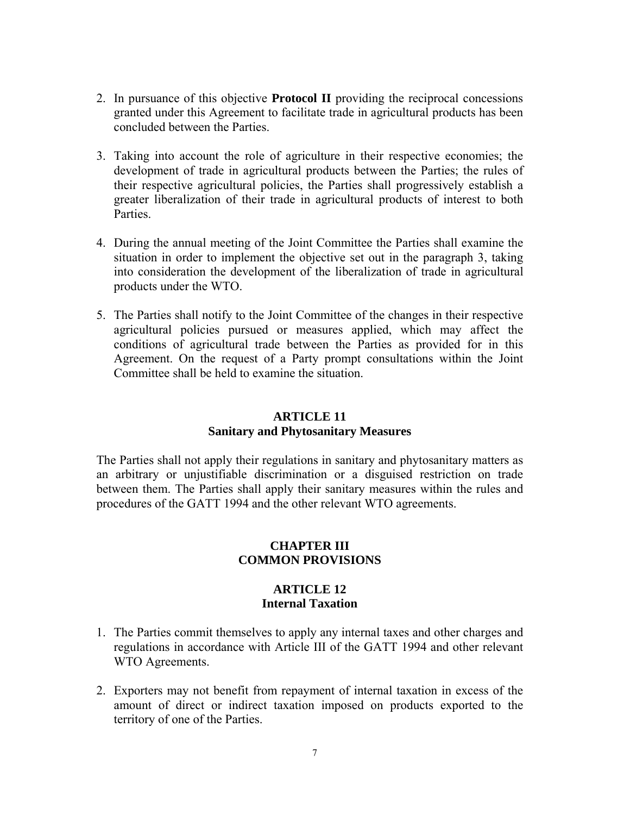- 2. In pursuance of this objective **Protocol II** providing the reciprocal concessions granted under this Agreement to facilitate trade in agricultural products has been concluded between the Parties.
- 3. Taking into account the role of agriculture in their respective economies; the development of trade in agricultural products between the Parties; the rules of their respective agricultural policies, the Parties shall progressively establish a greater liberalization of their trade in agricultural products of interest to both Parties.
- 4. During the annual meeting of the Joint Committee the Parties shall examine the situation in order to implement the objective set out in the paragraph 3, taking into consideration the development of the liberalization of trade in agricultural products under the WTO.
- 5. The Parties shall notify to the Joint Committee of the changes in their respective agricultural policies pursued or measures applied, which may affect the conditions of agricultural trade between the Parties as provided for in this Agreement. On the request of a Party prompt consultations within the Joint Committee shall be held to examine the situation.

#### **ARTICLE 11 Sanitary and Phytosanitary Measures**

The Parties shall not apply their regulations in sanitary and phytosanitary matters as an arbitrary or unjustifiable discrimination or a disguised restriction on trade between them. The Parties shall apply their sanitary measures within the rules and procedures of the GATT 1994 and the other relevant WTO agreements.

## **CHAPTER III COMMON PROVISIONS**

## **ARTICLE 12 Internal Taxation**

- 1. The Parties commit themselves to apply any internal taxes and other charges and regulations in accordance with Article III of the GATT 1994 and other relevant WTO Agreements.
- 2. Exporters may not benefit from repayment of internal taxation in excess of the amount of direct or indirect taxation imposed on products exported to the territory of one of the Parties.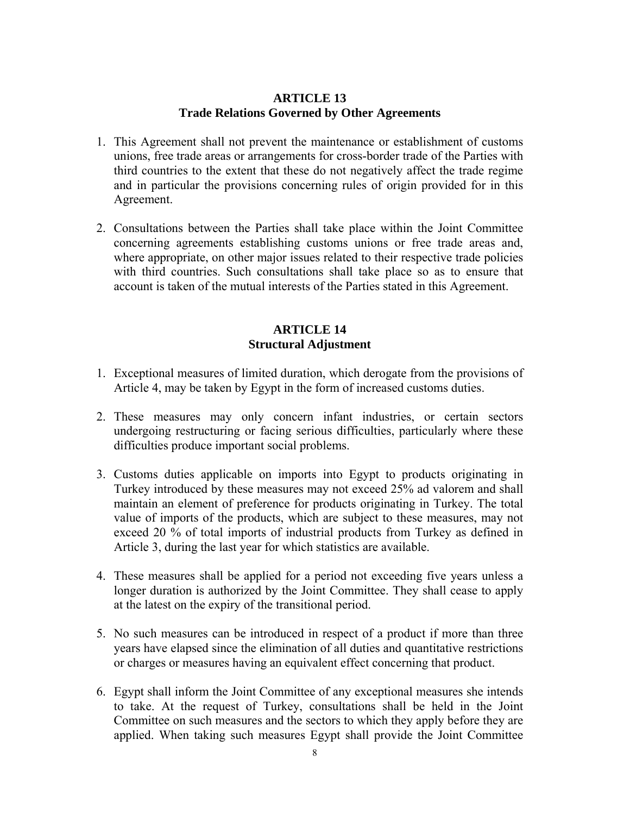## **ARTICLE 13 Trade Relations Governed by Other Agreements**

- 1. This Agreement shall not prevent the maintenance or establishment of customs unions, free trade areas or arrangements for cross-border trade of the Parties with third countries to the extent that these do not negatively affect the trade regime and in particular the provisions concerning rules of origin provided for in this Agreement.
- 2. Consultations between the Parties shall take place within the Joint Committee concerning agreements establishing customs unions or free trade areas and, where appropriate, on other major issues related to their respective trade policies with third countries. Such consultations shall take place so as to ensure that account is taken of the mutual interests of the Parties stated in this Agreement.

## **ARTICLE 14 Structural Adjustment**

- 1. Exceptional measures of limited duration, which derogate from the provisions of Article 4, may be taken by Egypt in the form of increased customs duties.
- 2. These measures may only concern infant industries, or certain sectors undergoing restructuring or facing serious difficulties, particularly where these difficulties produce important social problems.
- 3. Customs duties applicable on imports into Egypt to products originating in Turkey introduced by these measures may not exceed 25% ad valorem and shall maintain an element of preference for products originating in Turkey. The total value of imports of the products, which are subject to these measures, may not exceed 20 % of total imports of industrial products from Turkey as defined in Article 3, during the last year for which statistics are available.
- 4. These measures shall be applied for a period not exceeding five years unless a longer duration is authorized by the Joint Committee. They shall cease to apply at the latest on the expiry of the transitional period.
- 5. No such measures can be introduced in respect of a product if more than three years have elapsed since the elimination of all duties and quantitative restrictions or charges or measures having an equivalent effect concerning that product.
- 6. Egypt shall inform the Joint Committee of any exceptional measures she intends to take. At the request of Turkey, consultations shall be held in the Joint Committee on such measures and the sectors to which they apply before they are applied. When taking such measures Egypt shall provide the Joint Committee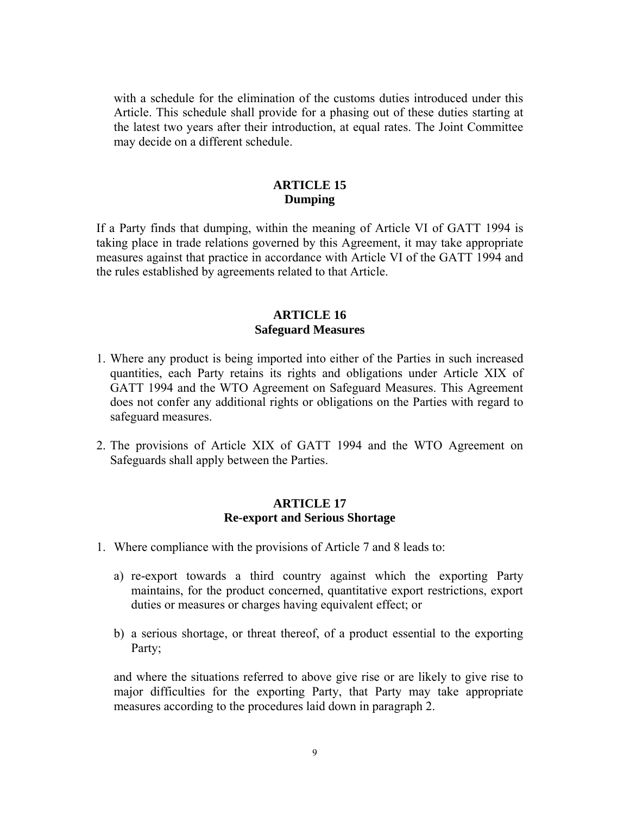with a schedule for the elimination of the customs duties introduced under this Article. This schedule shall provide for a phasing out of these duties starting at the latest two years after their introduction, at equal rates. The Joint Committee may decide on a different schedule.

## **ARTICLE 15 Dumping**

If a Party finds that dumping, within the meaning of Article VI of GATT 1994 is taking place in trade relations governed by this Agreement, it may take appropriate measures against that practice in accordance with Article VI of the GATT 1994 and the rules established by agreements related to that Article.

## **ARTICLE 16 Safeguard Measures**

- 1. Where any product is being imported into either of the Parties in such increased quantities, each Party retains its rights and obligations under Article XIX of GATT 1994 and the WTO Agreement on Safeguard Measures. This Agreement does not confer any additional rights or obligations on the Parties with regard to safeguard measures.
- 2. The provisions of Article XIX of GATT 1994 and the WTO Agreement on Safeguards shall apply between the Parties.

## **ARTICLE 17 Re-export and Serious Shortage**

- 1. Where compliance with the provisions of Article 7 and 8 leads to:
	- a) re-export towards a third country against which the exporting Party maintains, for the product concerned, quantitative export restrictions, export duties or measures or charges having equivalent effect; or
	- b) a serious shortage, or threat thereof, of a product essential to the exporting Party;

and where the situations referred to above give rise or are likely to give rise to major difficulties for the exporting Party, that Party may take appropriate measures according to the procedures laid down in paragraph 2.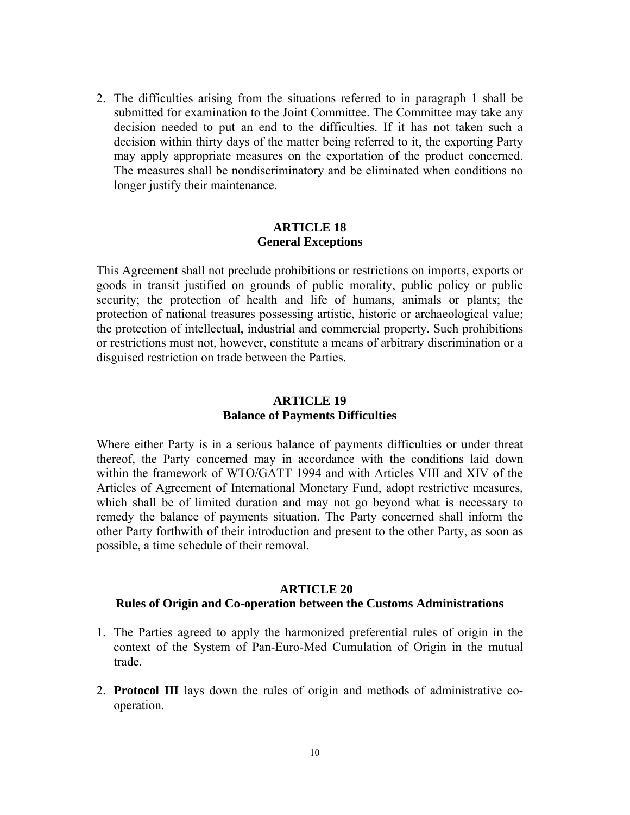2. The difficulties arising from the situations referred to in paragraph 1 shall be submitted for examination to the Joint Committee. The Committee may take any decision needed to put an end to the difficulties. If it has not taken such a decision within thirty days of the matter being referred to it, the exporting Party may apply appropriate measures on the exportation of the product concerned. The measures shall be nondiscriminatory and be eliminated when conditions no longer justify their maintenance.

## **ARTICLE 18 General Exceptions**

This Agreement shall not preclude prohibitions or restrictions on imports, exports or goods in transit justified on grounds of public morality, public policy or public security; the protection of health and life of humans, animals or plants; the protection of national treasures possessing artistic, historic or archaeological value; the protection of intellectual, industrial and commercial property. Such prohibitions or restrictions must not, however, constitute a means of arbitrary discrimination or a disguised restriction on trade between the Parties.

## **ARTICLE 19 Balance of Payments Difficulties**

Where either Party is in a serious balance of payments difficulties or under threat thereof, the Party concerned may in accordance with the conditions laid down within the framework of WTO/GATT 1994 and with Articles VIII and XIV of the Articles of Agreement of International Monetary Fund, adopt restrictive measures, which shall be of limited duration and may not go beyond what is necessary to remedy the balance of payments situation. The Party concerned shall inform the other Party forthwith of their introduction and present to the other Party, as soon as possible, a time schedule of their removal.

#### **ARTICLE 20**

## **Rules of Origin and Co-operation between the Customs Administrations**

- 1. The Parties agreed to apply the harmonized preferential rules of origin in the context of the System of Pan-Euro-Med Cumulation of Origin in the mutual trade.
- 2. **Protocol III** lays down the rules of origin and methods of administrative cooperation.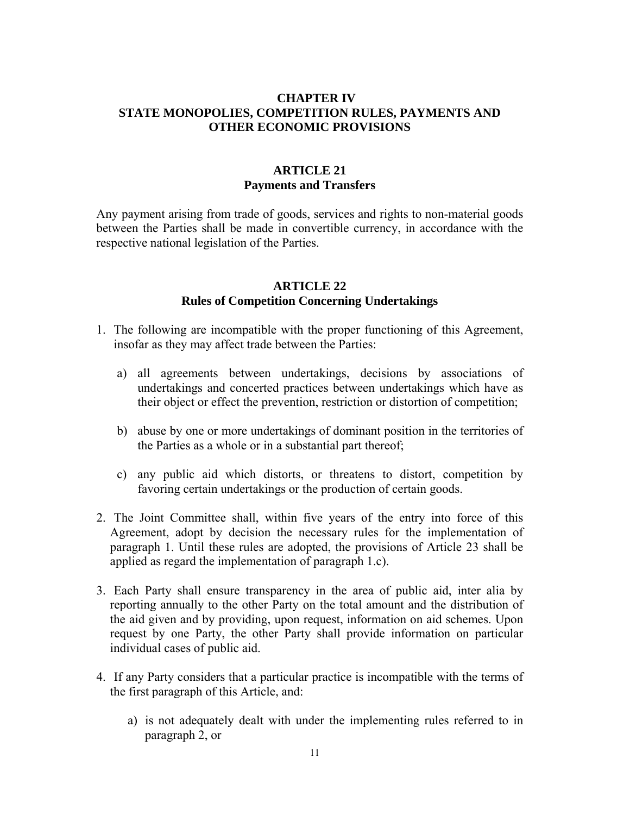## **CHAPTER IV STATE MONOPOLIES, COMPETITION RULES, PAYMENTS AND OTHER ECONOMIC PROVISIONS**

## **ARTICLE 21 Payments and Transfers**

Any payment arising from trade of goods, services and rights to non-material goods between the Parties shall be made in convertible currency, in accordance with the respective national legislation of the Parties.

## **ARTICLE 22 Rules of Competition Concerning Undertakings**

- 1. The following are incompatible with the proper functioning of this Agreement, insofar as they may affect trade between the Parties:
	- a) all agreements between undertakings, decisions by associations of undertakings and concerted practices between undertakings which have as their object or effect the prevention, restriction or distortion of competition;
	- b) abuse by one or more undertakings of dominant position in the territories of the Parties as a whole or in a substantial part thereof;
	- c) any public aid which distorts, or threatens to distort, competition by favoring certain undertakings or the production of certain goods.
- 2. The Joint Committee shall, within five years of the entry into force of this Agreement, adopt by decision the necessary rules for the implementation of paragraph 1. Until these rules are adopted, the provisions of Article 23 shall be applied as regard the implementation of paragraph 1.c).
- 3. Each Party shall ensure transparency in the area of public aid, inter alia by reporting annually to the other Party on the total amount and the distribution of the aid given and by providing, upon request, information on aid schemes. Upon request by one Party, the other Party shall provide information on particular individual cases of public aid.
- 4. If any Party considers that a particular practice is incompatible with the terms of the first paragraph of this Article, and:
	- a) is not adequately dealt with under the implementing rules referred to in paragraph 2, or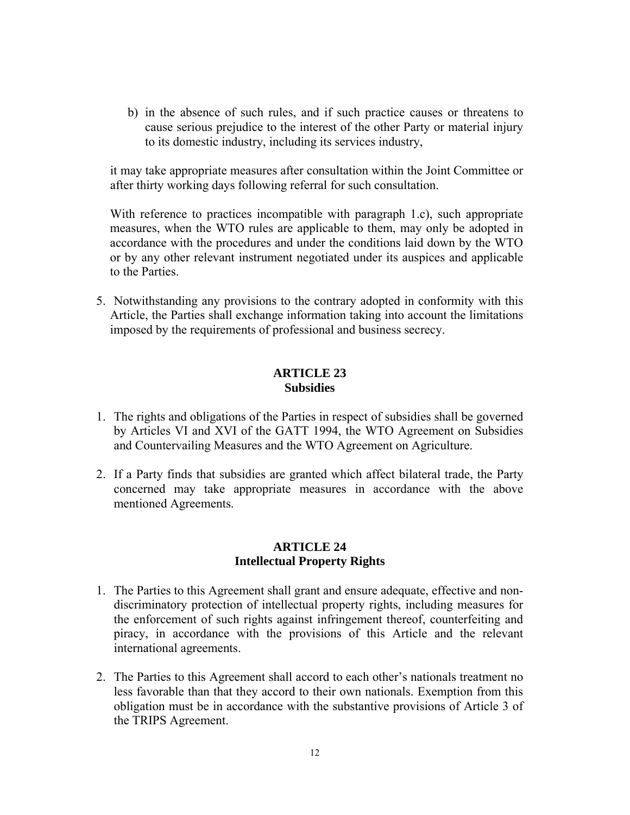b) in the absence of such rules, and if such practice causes or threatens to cause serious prejudice to the interest of the other Party or material injury to its domestic industry, including its services industry,

it may take appropriate measures after consultation within the Joint Committee or after thirty working days following referral for such consultation.

With reference to practices incompatible with paragraph 1.c), such appropriate measures, when the WTO rules are applicable to them, may only be adopted in accordance with the procedures and under the conditions laid down by the WTO or by any other relevant instrument negotiated under its auspices and applicable to the Parties.

5. Notwithstanding any provisions to the contrary adopted in conformity with this Article, the Parties shall exchange information taking into account the limitations imposed by the requirements of professional and business secrecy.

## **ARTICLE 23 Subsidies**

- 1. The rights and obligations of the Parties in respect of subsidies shall be governed by Articles VI and XVI of the GATT 1994, the WTO Agreement on Subsidies and Countervailing Measures and the WTO Agreement on Agriculture.
- 2. If a Party finds that subsidies are granted which affect bilateral trade, the Party concerned may take appropriate measures in accordance with the above mentioned Agreements.

## **ARTICLE 24 Intellectual Property Rights**

- 1. The Parties to this Agreement shall grant and ensure adequate, effective and nondiscriminatory protection of intellectual property rights, including measures for the enforcement of such rights against infringement thereof, counterfeiting and piracy, in accordance with the provisions of this Article and the relevant international agreements.
- 2. The Parties to this Agreement shall accord to each other's nationals treatment no less favorable than that they accord to their own nationals. Exemption from this obligation must be in accordance with the substantive provisions of Article 3 of the TRIPS Agreement.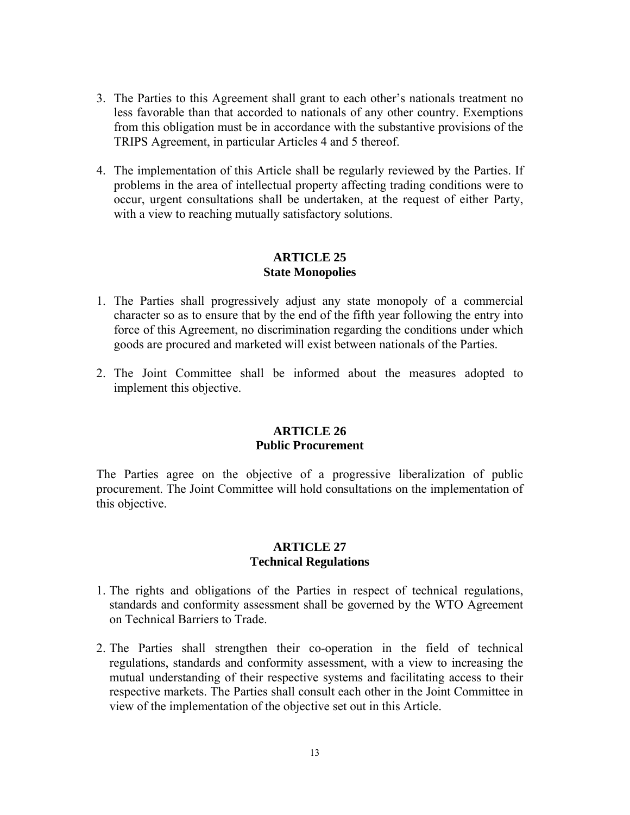- 3. The Parties to this Agreement shall grant to each other's nationals treatment no less favorable than that accorded to nationals of any other country. Exemptions from this obligation must be in accordance with the substantive provisions of the TRIPS Agreement, in particular Articles 4 and 5 thereof.
- 4. The implementation of this Article shall be regularly reviewed by the Parties. If problems in the area of intellectual property affecting trading conditions were to occur, urgent consultations shall be undertaken, at the request of either Party, with a view to reaching mutually satisfactory solutions.

#### **ARTICLE 25 State Monopolies**

- 1. The Parties shall progressively adjust any state monopoly of a commercial character so as to ensure that by the end of the fifth year following the entry into force of this Agreement, no discrimination regarding the conditions under which goods are procured and marketed will exist between nationals of the Parties.
- 2. The Joint Committee shall be informed about the measures adopted to implement this objective.

#### **ARTICLE 26 Public Procurement**

The Parties agree on the objective of a progressive liberalization of public procurement. The Joint Committee will hold consultations on the implementation of this objective.

## **ARTICLE 27 Technical Regulations**

- 1. The rights and obligations of the Parties in respect of technical regulations, standards and conformity assessment shall be governed by the WTO Agreement on Technical Barriers to Trade.
- 2. The Parties shall strengthen their co-operation in the field of technical regulations, standards and conformity assessment, with a view to increasing the mutual understanding of their respective systems and facilitating access to their respective markets. The Parties shall consult each other in the Joint Committee in view of the implementation of the objective set out in this Article.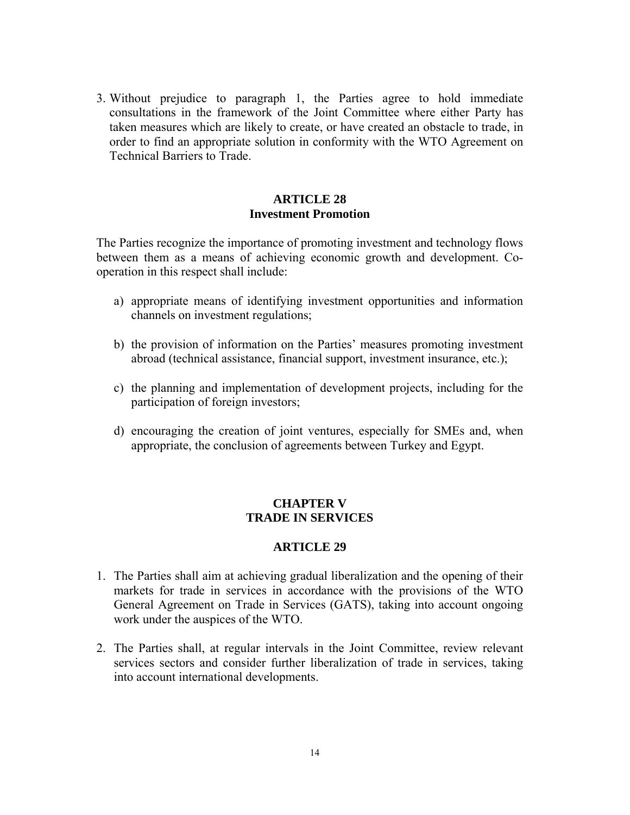3. Without prejudice to paragraph 1, the Parties agree to hold immediate consultations in the framework of the Joint Committee where either Party has taken measures which are likely to create, or have created an obstacle to trade, in order to find an appropriate solution in conformity with the WTO Agreement on Technical Barriers to Trade.

## **ARTICLE 28 Investment Promotion**

The Parties recognize the importance of promoting investment and technology flows between them as a means of achieving economic growth and development. Cooperation in this respect shall include:

- a) appropriate means of identifying investment opportunities and information channels on investment regulations;
- b) the provision of information on the Parties' measures promoting investment abroad (technical assistance, financial support, investment insurance, etc.);
- c) the planning and implementation of development projects, including for the participation of foreign investors;
- d) encouraging the creation of joint ventures, especially for SMEs and, when appropriate, the conclusion of agreements between Turkey and Egypt.

## **CHAPTER V TRADE IN SERVICES**

## **ARTICLE 29**

- 1. The Parties shall aim at achieving gradual liberalization and the opening of their markets for trade in services in accordance with the provisions of the WTO General Agreement on Trade in Services (GATS), taking into account ongoing work under the auspices of the WTO.
- 2. The Parties shall, at regular intervals in the Joint Committee, review relevant services sectors and consider further liberalization of trade in services, taking into account international developments.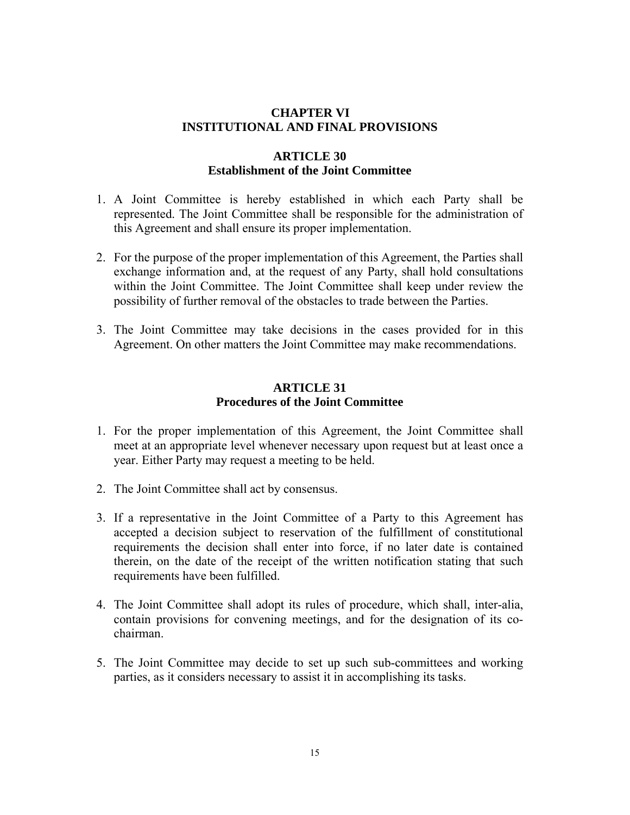## **CHAPTER VI INSTITUTIONAL AND FINAL PROVISIONS**

## **ARTICLE 30 Establishment of the Joint Committee**

- 1. A Joint Committee is hereby established in which each Party shall be represented. The Joint Committee shall be responsible for the administration of this Agreement and shall ensure its proper implementation.
- 2. For the purpose of the proper implementation of this Agreement, the Parties shall exchange information and, at the request of any Party, shall hold consultations within the Joint Committee. The Joint Committee shall keep under review the possibility of further removal of the obstacles to trade between the Parties.
- 3. The Joint Committee may take decisions in the cases provided for in this Agreement. On other matters the Joint Committee may make recommendations.

### **ARTICLE 31 Procedures of the Joint Committee**

- 1. For the proper implementation of this Agreement, the Joint Committee shall meet at an appropriate level whenever necessary upon request but at least once a year. Either Party may request a meeting to be held.
- 2. The Joint Committee shall act by consensus.
- 3. If a representative in the Joint Committee of a Party to this Agreement has accepted a decision subject to reservation of the fulfillment of constitutional requirements the decision shall enter into force, if no later date is contained therein, on the date of the receipt of the written notification stating that such requirements have been fulfilled.
- 4. The Joint Committee shall adopt its rules of procedure, which shall, inter-alia, contain provisions for convening meetings, and for the designation of its cochairman.
- 5. The Joint Committee may decide to set up such sub-committees and working parties, as it considers necessary to assist it in accomplishing its tasks.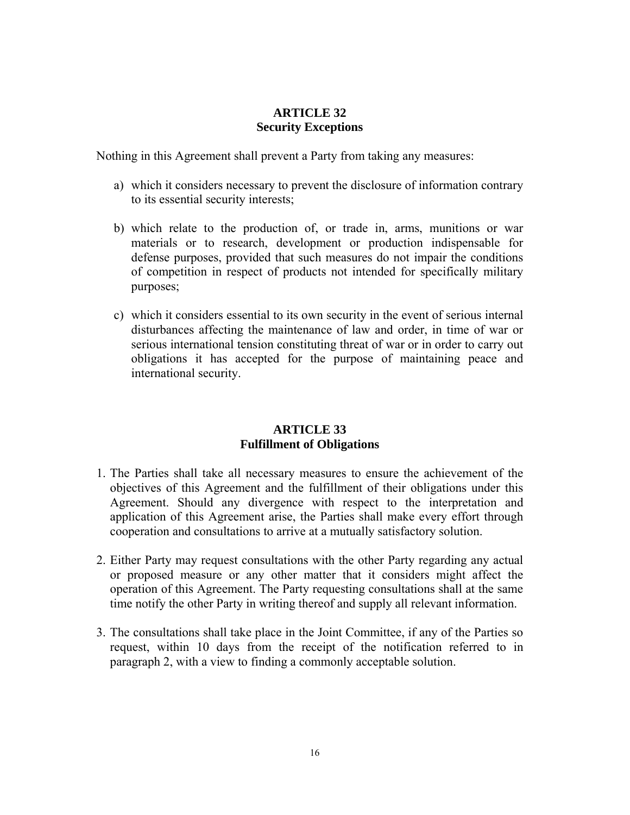## **ARTICLE 32 Security Exceptions**

Nothing in this Agreement shall prevent a Party from taking any measures:

- a) which it considers necessary to prevent the disclosure of information contrary to its essential security interests;
- b) which relate to the production of, or trade in, arms, munitions or war materials or to research, development or production indispensable for defense purposes, provided that such measures do not impair the conditions of competition in respect of products not intended for specifically military purposes;
- c) which it considers essential to its own security in the event of serious internal disturbances affecting the maintenance of law and order, in time of war or serious international tension constituting threat of war or in order to carry out obligations it has accepted for the purpose of maintaining peace and international security.

## **ARTICLE 33 Fulfillment of Obligations**

- 1. The Parties shall take all necessary measures to ensure the achievement of the objectives of this Agreement and the fulfillment of their obligations under this Agreement. Should any divergence with respect to the interpretation and application of this Agreement arise, the Parties shall make every effort through cooperation and consultations to arrive at a mutually satisfactory solution.
- 2. Either Party may request consultations with the other Party regarding any actual or proposed measure or any other matter that it considers might affect the operation of this Agreement. The Party requesting consultations shall at the same time notify the other Party in writing thereof and supply all relevant information.
- 3. The consultations shall take place in the Joint Committee, if any of the Parties so request, within 10 days from the receipt of the notification referred to in paragraph 2, with a view to finding a commonly acceptable solution.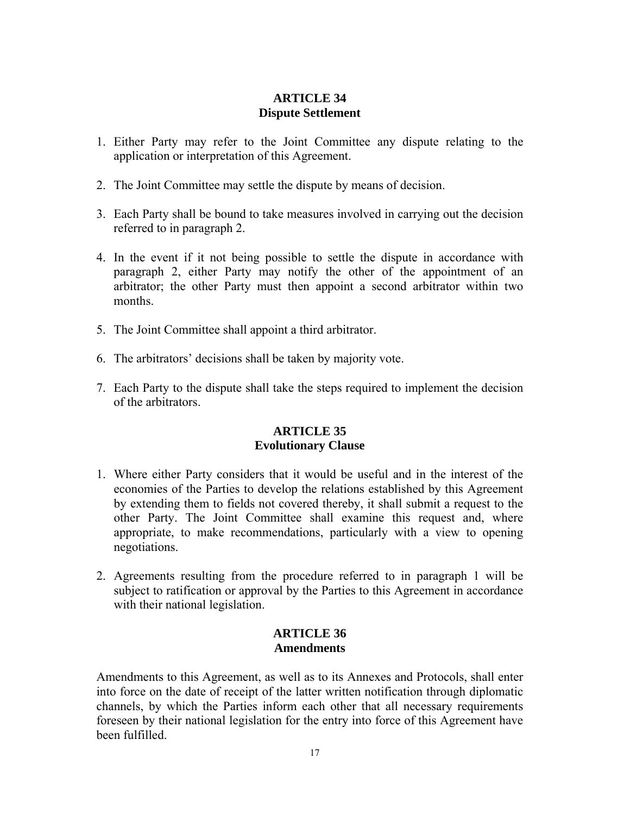## **ARTICLE 34 Dispute Settlement**

- 1. Either Party may refer to the Joint Committee any dispute relating to the application or interpretation of this Agreement.
- 2. The Joint Committee may settle the dispute by means of decision.
- 3. Each Party shall be bound to take measures involved in carrying out the decision referred to in paragraph 2.
- 4. In the event if it not being possible to settle the dispute in accordance with paragraph 2, either Party may notify the other of the appointment of an arbitrator; the other Party must then appoint a second arbitrator within two months.
- 5. The Joint Committee shall appoint a third arbitrator.
- 6. The arbitrators' decisions shall be taken by majority vote.
- 7. Each Party to the dispute shall take the steps required to implement the decision of the arbitrators.

## **ARTICLE 35 Evolutionary Clause**

- 1. Where either Party considers that it would be useful and in the interest of the economies of the Parties to develop the relations established by this Agreement by extending them to fields not covered thereby, it shall submit a request to the other Party. The Joint Committee shall examine this request and, where appropriate, to make recommendations, particularly with a view to opening negotiations.
- 2. Agreements resulting from the procedure referred to in paragraph 1 will be subject to ratification or approval by the Parties to this Agreement in accordance with their national legislation.

## **ARTICLE 36 Amendments**

Amendments to this Agreement, as well as to its Annexes and Protocols, shall enter into force on the date of receipt of the latter written notification through diplomatic channels, by which the Parties inform each other that all necessary requirements foreseen by their national legislation for the entry into force of this Agreement have been fulfilled.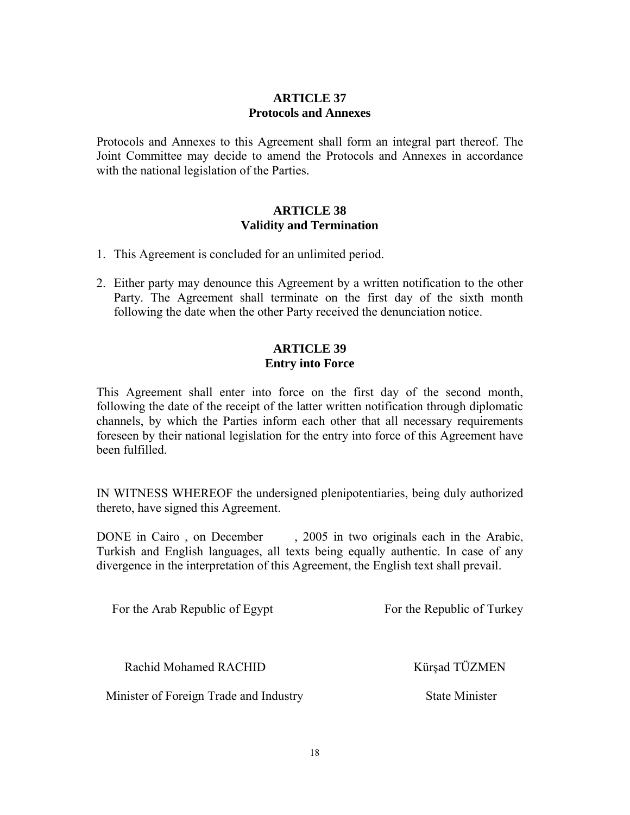## **ARTICLE 37 Protocols and Annexes**

Protocols and Annexes to this Agreement shall form an integral part thereof. The Joint Committee may decide to amend the Protocols and Annexes in accordance with the national legislation of the Parties.

## **ARTICLE 38 Validity and Termination**

- 1. This Agreement is concluded for an unlimited period.
- 2. Either party may denounce this Agreement by a written notification to the other Party. The Agreement shall terminate on the first day of the sixth month following the date when the other Party received the denunciation notice.

## **ARTICLE 39 Entry into Force**

This Agreement shall enter into force on the first day of the second month, following the date of the receipt of the latter written notification through diplomatic channels, by which the Parties inform each other that all necessary requirements foreseen by their national legislation for the entry into force of this Agreement have been fulfilled.

IN WITNESS WHEREOF the undersigned plenipotentiaries, being duly authorized thereto, have signed this Agreement.

DONE in Cairo, on December, 2005 in two originals each in the Arabic, Turkish and English languages, all texts being equally authentic. In case of any divergence in the interpretation of this Agreement, the English text shall prevail.

For the Arab Republic of Egypt For the Republic of Turkey

Rachid Mohamed RACHID Kürşad TÜZMEN

Minister of Foreign Trade and Industry State Minister